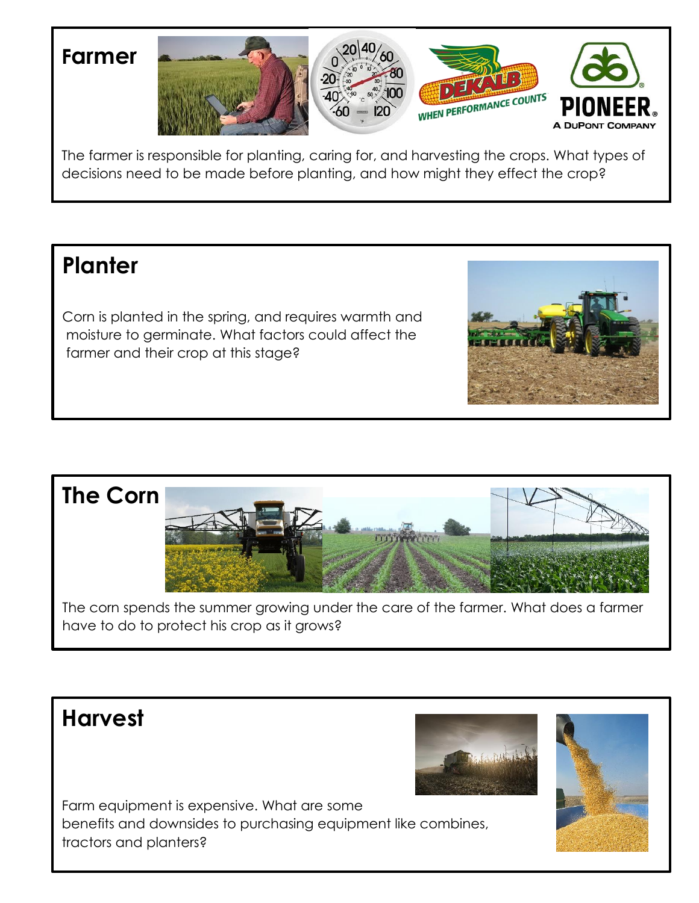

The farmer is responsible for planting, caring for, and harvesting the crops. What types of decisions need to be made before planting, and how might they effect the crop?

### **Planter**

Corn is planted in the spring, and requires warmth and moisture to germinate. What factors could affect the farmer and their crop at this stage?



The corn spends the summer growing under the care of the farmer. What does a farmer have to do to protect his crop as it grows?

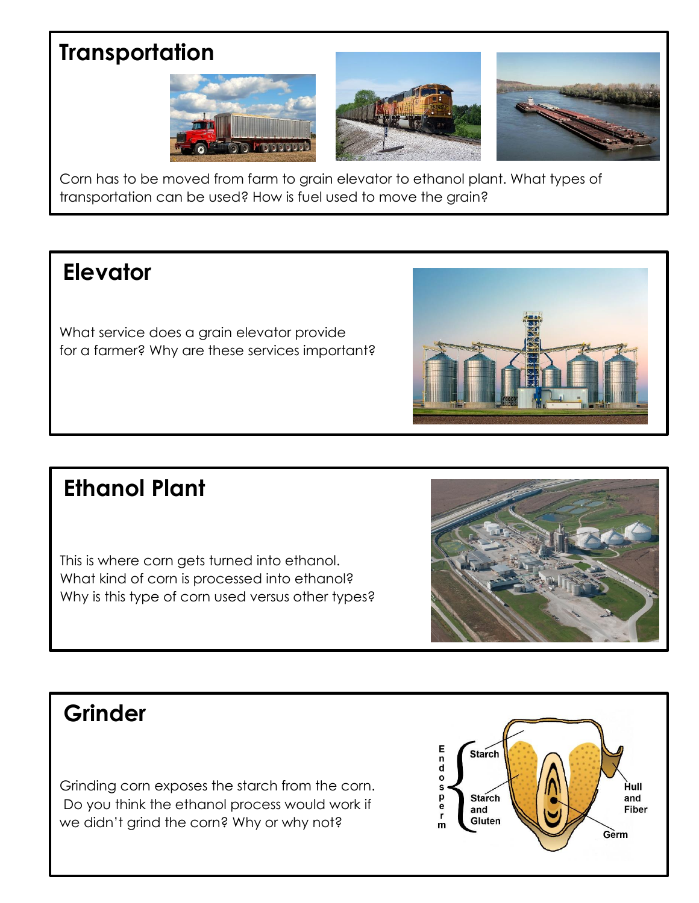## **Transportation**







Corn has to be moved from farm to grain elevator to ethanol plant. What types of transportation can be used? How is fuel used to move the grain?

## **Elevator**

What service does a grain elevator provide for a farmer? Why are these services important?



## **Ethanol Plant**

This is where corn gets turned into ethanol. What kind of corn is processed into ethanol? Why is this type of corn used versus other types?



## **Grinder**

Grinding corn exposes the starch from the corn. Do you think the ethanol process would work if we didn't grind the corn? Why or why not?

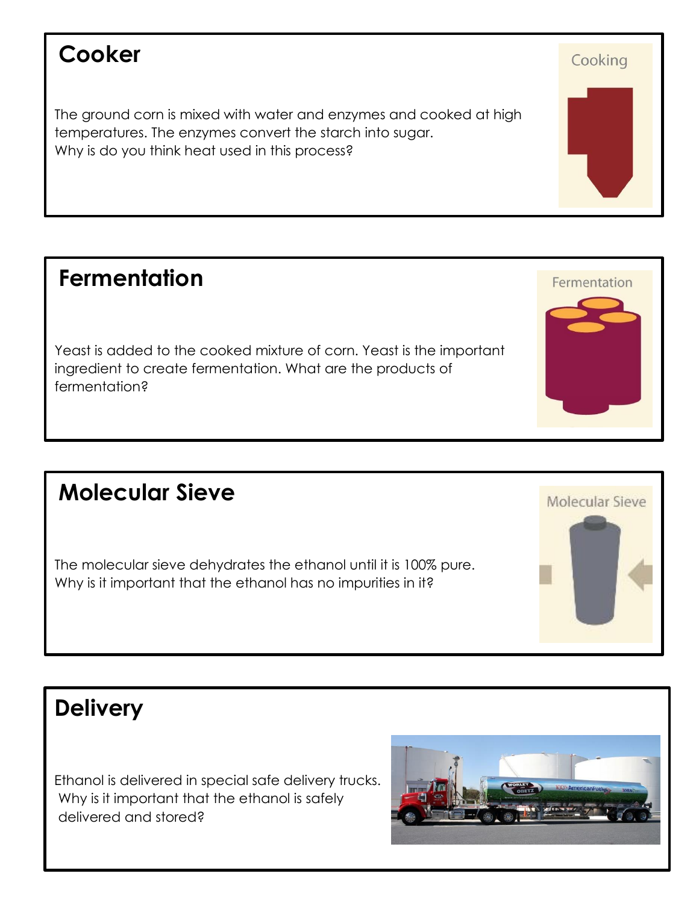#### **Cooker**

The ground corn is mixed with water and enzymes and cooked at high temperatures. The enzymes convert the starch into sugar. Why is do you think heat used in this process?

#### **Fermentation**

Yeast is added to the cooked mixture of corn. Yeast is the important ingredient to create fermentation. What are the products of fermentation?

#### **Molecular Sieve**

The molecular sieve dehydrates the ethanol until it is 100% pure. Why is it important that the ethanol has no impurities in it?

## **Delivery**

Ethanol is delivered in special safe delivery trucks. Why is it important that the ethanol is safely delivered and stored?